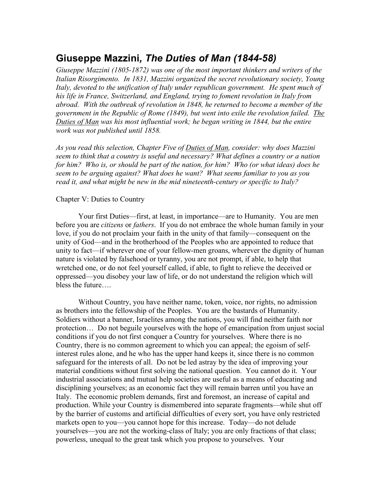## **Giuseppe Mazzini***, The Duties of Man (1844-58)*

*Giuseppe Mazzini (1805-1872) was one of the most important thinkers and writers of the Italian Risorgimento. In 1831, Mazzini organized the secret revolutionary society, Young Italy, devoted to the unification of Italy under republican government. He spent much of his life in France, Switzerland, and England, trying to foment revolution in Italy from abroad. With the outbreak of revolution in 1848, he returned to become a member of the government in the Republic of Rome (1849), but went into exile the revolution failed. The Duties of Man was his most influential work; he began writing in 1844, but the entire work was not published until 1858.* 

*As you read this selection, Chapter Five of Duties of Man, consider: why does Mazzini seem to think that a country is useful and necessary? What defines a country or a nation for him? Who is, or should be part of the nation, for him? Who (or what ideas) does he seem to be arguing against? What does he want? What seems familiar to you as you read it, and what might be new in the mid nineteenth-century or specific to Italy?*

## Chapter V: Duties to Country

Your first Duties—first, at least, in importance—are to Humanity. You are men before you are *citizens* or *fathers*. If you do not embrace the whole human family in your love, if you do not proclaim your faith in the unity of that family—consequent on the unity of God—and in the brotherhood of the Peoples who are appointed to reduce that unity to fact—if wherever one of your fellow-men groans, wherever the dignity of human nature is violated by falsehood or tyranny, you are not prompt, if able, to help that wretched one, or do not feel yourself called, if able, to fight to relieve the deceived or oppressed—you disobey your law of life, or do not understand the religion which will bless the future….

Without Country, you have neither name, token, voice, nor rights, no admission as brothers into the fellowship of the Peoples. You are the bastards of Humanity. Soldiers without a banner, Israelites among the nations, you will find neither faith nor protection… Do not beguile yourselves with the hope of emancipation from unjust social conditions if you do not first conquer a Country for yourselves. Where there is no Country, there is no common agreement to which you can appeal; the egoism of selfinterest rules alone, and he who has the upper hand keeps it, since there is no common safeguard for the interests of all. Do not be led astray by the idea of improving your material conditions without first solving the national question. You cannot do it. Your industrial associations and mutual help societies are useful as a means of educating and disciplining yourselves; as an economic fact they will remain barren until you have an Italy. The economic problem demands, first and foremost, an increase of capital and production. While your Country is dismembered into separate fragments—while shut off by the barrier of customs and artificial difficulties of every sort, you have only restricted markets open to you—you cannot hope for this increase. Today—do not delude yourselves—you are not the working-class of Italy; you are only fractions of that class; powerless, unequal to the great task which you propose to yourselves. Your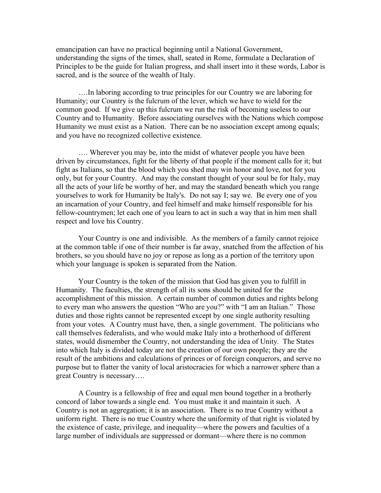emancipation can have no practical beginning until a National Government, understanding the signs of the times, shall, seated in Rome, formulate a Declaration of Principles to be the guide for Italian progress, and shall insert into it these words, Labor is sacred, and is the source of the wealth of Italy.

….In laboring according to true principles for our Country we are laboring for Humanity; our Country is the fulcrum of the lever, which we have to wield for the common good. If we give up this fulcrum we run the risk of becoming useless to our Country and to Humanity. Before associating ourselves with the Nations which compose Humanity we must exist as a Nation. There can be no association except among equals; and you have no recognized collective existence.

…. Wherever you may be, into the midst of whatever people you have been driven by circumstances, fight for the liberty of that people if the moment calls for it; but fight as Italians, so that the blood which you shed may win honor and love, not for you only, but for your Country. And may the constant thought of your soul be for Italy, may all the acts of your life be worthy of her, and may the standard beneath which you range yourselves to work for Humanity be Italy's. Do not say I; say we. Be every one of you an incarnation of your Country, and feel himself and make himself responsible for his fellow-countrymen; let each one of you learn to act in such a way that in him men shall respect and love his Country.

Your Country is one and indivisible. As the members of a family cannot rejoice at the common table if one of their number is far away, snatched from the affection of his brothers, so you should have no joy or repose as long as a portion of the territory upon which your language is spoken is separated from the Nation.

Your Country is the token of the mission that God has given you to fulfill in Humanity. The faculties, the strength of all its sons should be united for the accomplishment of this mission. A certain number of common duties and rights belong to every man who answers the question "Who are you?" with "I am an Italian." Those duties and those rights cannot be represented except by one single authority resulting from your votes. A Country must have, then, a single government. The politicians who call themselves federalists, and who would make Italy into a brotherhood of different states, would dismember the Country, not understanding the idea of Unity. The States into which Italy is divided today are not the creation of our own people; they are the result of the ambitions and calculations of princes or of foreign conquerors, and serve no purpose but to flatter the vanity of local aristocracies for which a narrower sphere than a great Country is necessary….

A Country is a fellowship of free and equal men bound together in a brotherly concord of labor towards a single end. You must make it and maintain it such. A Country is not an aggregation; it is an association. There is no true Country without a uniform right. There is no true Country where the uniformity of that right is violated by the existence of caste, privilege, and inequality—where the powers and faculties of a large number of individuals are suppressed or dormant—where there is no common